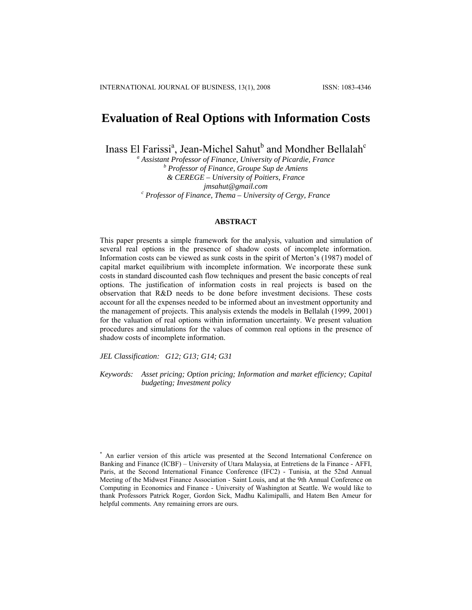# **Evaluation of Real Options with Information Costs**

Inass El Farissi<sup>a</sup>, Jean-Michel Sahut<sup>b</sup> and Mondher Bellalah<sup>c</sup>

<sup>a</sup> Assistant Professor of Finance, University of Picardie, France  *Professor of Finance, Groupe Sup de Amiens & CEREGE – University of Poitiers, France jmsahut@gmail.com*<br><sup>*c*</sup> Professor of Finance, Thema – University of Cergy, France

# **ABSTRACT**

This paper presents a simple framework for the analysis, valuation and simulation of several real options in the presence of shadow costs of incomplete information. Information costs can be viewed as sunk costs in the spirit of Merton's (1987) model of capital market equilibrium with incomplete information. We incorporate these sunk costs in standard discounted cash flow techniques and present the basic concepts of real options. The justification of information costs in real projects is based on the observation that R&D needs to be done before investment decisions. These costs account for all the expenses needed to be informed about an investment opportunity and the management of projects. This analysis extends the models in Bellalah (1999, 2001) for the valuation of real options within information uncertainty. We present valuation procedures and simulations for the values of common real options in the presence of shadow costs of incomplete information.

*JEL Classification: G12; G13; G14; G31* 

*Keywords: Asset pricing; Option pricing; Information and market efficiency; Capital budgeting; Investment policy* 

<sup>\*</sup> An earlier version of this article was presented at the Second International Conference on Banking and Finance (ICBF) – University of Utara Malaysia, at Entretiens de la Finance - AFFI, Paris, at the Second International Finance Conference (IFC2) - Tunisia, at the 52nd Annual Meeting of the Midwest Finance Association - Saint Louis, and at the 9th Annual Conference on Computing in Economics and Finance - University of Washington at Seattle. We would like to thank Professors Patrick Roger, Gordon Sick, Madhu Kalimipalli, and Hatem Ben Ameur for helpful comments. Any remaining errors are ours.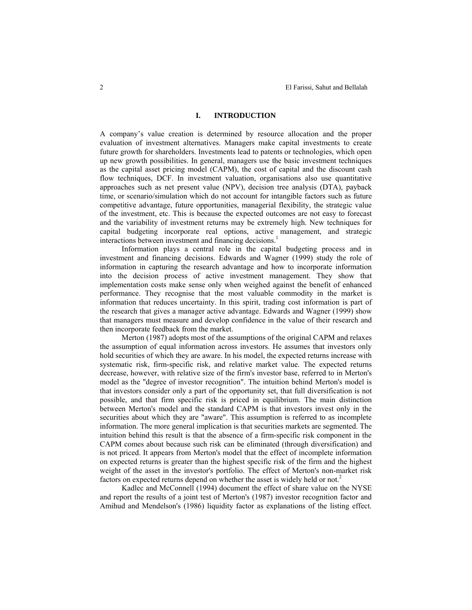# **I. INTRODUCTION**

A company's value creation is determined by resource allocation and the proper evaluation of investment alternatives. Managers make capital investments to create future growth for shareholders. Investments lead to patents or technologies, which open up new growth possibilities. In general, managers use the basic investment techniques as the capital asset pricing model (CAPM), the cost of capital and the discount cash flow techniques, DCF. In investment valuation, organisations also use quantitative approaches such as net present value (NPV), decision tree analysis (DTA), payback time, or scenario/simulation which do not account for intangible factors such as future competitive advantage, future opportunities, managerial flexibility, the strategic value of the investment, etc. This is because the expected outcomes are not easy to forecast and the variability of investment returns may be extremely high. New techniques for capital budgeting incorporate real options, active management, and strategic interactions between investment and financing decisions.<sup>1</sup>

Information plays a central role in the capital budgeting process and in investment and financing decisions. Edwards and Wagner (1999) study the role of information in capturing the research advantage and how to incorporate information into the decision process of active investment management. They show that implementation costs make sense only when weighed against the benefit of enhanced performance. They recognise that the most valuable commodity in the market is information that reduces uncertainty. In this spirit, trading cost information is part of the research that gives a manager active advantage. Edwards and Wagner (1999) show that managers must measure and develop confidence in the value of their research and then incorporate feedback from the market.

Merton (1987) adopts most of the assumptions of the original CAPM and relaxes the assumption of equal information across investors. He assumes that investors only hold securities of which they are aware. In his model, the expected returns increase with systematic risk, firm-specific risk, and relative market value. The expected returns decrease, however, with relative size of the firm's investor base, referred to in Merton's model as the "degree of investor recognition". The intuition behind Merton's model is that investors consider only a part of the opportunity set, that full diversification is not possible, and that firm specific risk is priced in equilibrium. The main distinction between Merton's model and the standard CAPM is that investors invest only in the securities about which they are "aware". This assumption is referred to as incomplete information. The more general implication is that securities markets are segmented. The intuition behind this result is that the absence of a firm-specific risk component in the CAPM comes about because such risk can be eliminated (through diversification) and is not priced. It appears from Merton's model that the effect of incomplete information on expected returns is greater than the highest specific risk of the firm and the highest weight of the asset in the investor's portfolio. The effect of Merton's non-market risk factors on expected returns depend on whether the asset is widely held or not.<sup>2</sup>

Kadlec and McConnell (1994) document the effect of share value on the NYSE and report the results of a joint test of Merton's (1987) investor recognition factor and Amihud and Mendelson's (1986) liquidity factor as explanations of the listing effect.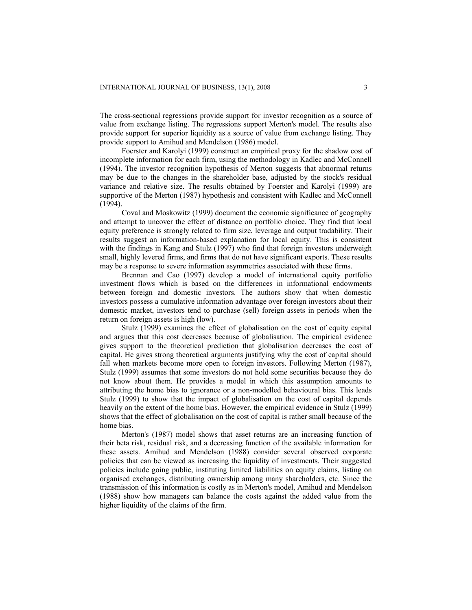The cross-sectional regressions provide support for investor recognition as a source of value from exchange listing. The regressions support Merton's model. The results also provide support for superior liquidity as a source of value from exchange listing. They provide support to Amihud and Mendelson (1986) model.

Foerster and Karolyi (1999) construct an empirical proxy for the shadow cost of incomplete information for each firm, using the methodology in Kadlec and McConnell (1994). The investor recognition hypothesis of Merton suggests that abnormal returns may be due to the changes in the shareholder base, adjusted by the stock's residual variance and relative size. The results obtained by Foerster and Karolyi (1999) are supportive of the Merton (1987) hypothesis and consistent with Kadlec and McConnell (1994).

Coval and Moskowitz (1999) document the economic significance of geography and attempt to uncover the effect of distance on portfolio choice. They find that local equity preference is strongly related to firm size, leverage and output tradability. Their results suggest an information-based explanation for local equity. This is consistent with the findings in Kang and Stulz (1997) who find that foreign investors underweigh small, highly levered firms, and firms that do not have significant exports. These results may be a response to severe information asymmetries associated with these firms.

Brennan and Cao (1997) develop a model of international equity portfolio investment flows which is based on the differences in informational endowments between foreign and domestic investors. The authors show that when domestic investors possess a cumulative information advantage over foreign investors about their domestic market, investors tend to purchase (sell) foreign assets in periods when the return on foreign assets is high (low).

Stulz (1999) examines the effect of globalisation on the cost of equity capital and argues that this cost decreases because of globalisation. The empirical evidence gives support to the theoretical prediction that globalisation decreases the cost of capital. He gives strong theoretical arguments justifying why the cost of capital should fall when markets become more open to foreign investors. Following Merton (1987), Stulz (1999) assumes that some investors do not hold some securities because they do not know about them. He provides a model in which this assumption amounts to attributing the home bias to ignorance or a non-modelled behavioural bias. This leads Stulz (1999) to show that the impact of globalisation on the cost of capital depends heavily on the extent of the home bias. However, the empirical evidence in Stulz (1999) shows that the effect of globalisation on the cost of capital is rather small because of the home bias.

Merton's (1987) model shows that asset returns are an increasing function of their beta risk, residual risk, and a decreasing function of the available information for these assets. Amihud and Mendelson (1988) consider several observed corporate policies that can be viewed as increasing the liquidity of investments. Their suggested policies include going public, instituting limited liabilities on equity claims, listing on organised exchanges, distributing ownership among many shareholders, etc. Since the transmission of this information is costly as in Merton's model, Amihud and Mendelson (1988) show how managers can balance the costs against the added value from the higher liquidity of the claims of the firm.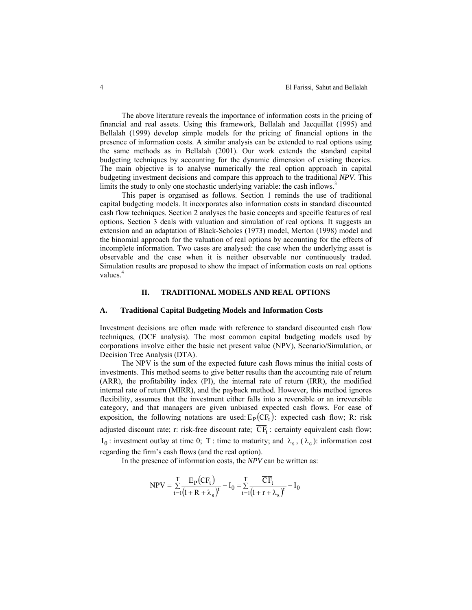The above literature reveals the importance of information costs in the pricing of financial and real assets. Using this framework, Bellalah and Jacquillat (1995) and Bellalah (1999) develop simple models for the pricing of financial options in the presence of information costs. A similar analysis can be extended to real options using the same methods as in Bellalah (2001). Our work extends the standard capital budgeting techniques by accounting for the dynamic dimension of existing theories. The main objective is to analyse numerically the real option approach in capital budgeting investment decisions and compare this approach to the traditional *NPV*. This limits the study to only one stochastic underlying variable: the cash inflows.<sup>3</sup>

This paper is organised as follows. Section 1 reminds the use of traditional capital budgeting models. It incorporates also information costs in standard discounted cash flow techniques. Section 2 analyses the basic concepts and specific features of real options. Section 3 deals with valuation and simulation of real options. It suggests an extension and an adaptation of Black-Scholes (1973) model, Merton (1998) model and the binomial approach for the valuation of real options by accounting for the effects of incomplete information. Two cases are analysed: the case when the underlying asset is observable and the case when it is neither observable nor continuously traded. Simulation results are proposed to show the impact of information costs on real options values.<sup>4</sup>

# **II. TRADITIONAL MODELS AND REAL OPTIONS**

#### **A. Traditional Capital Budgeting Models and Information Costs**

Investment decisions are often made with reference to standard discounted cash flow techniques, (DCF analysis). The most common capital budgeting models used by corporations involve either the basic net present value (NPV), Scenario/Simulation, or Decision Tree Analysis (DTA).

The NPV is the sum of the expected future cash flows minus the initial costs of investments. This method seems to give better results than the accounting rate of return (ARR), the profitability index (PI), the internal rate of return (IRR), the modified internal rate of return (MIRR), and the payback method. However, this method ignores flexibility, assumes that the investment either falls into a reversible or an irreversible category, and that managers are given unbiased expected cash flows. For ease of exposition, the following notations are used:  $E_P(CF_t)$ : expected cash flow; R: risk adjusted discount rate; r: risk-free discount rate;  $\overline{CF}_t$ : certainty equivalent cash flow;  $I_0$ : investment outlay at time 0; T : time to maturity; and  $\lambda_s$ ,  $(\lambda_c)$ : information cost regarding the firm's cash flows (and the real option).

In the presence of information costs, the *NPV* can be written as:

$$
NPV = \sum_{t=1}^{T} \frac{E_P(CF_t)}{(1+R+\lambda_s)^t} - I_0 = \sum_{t=1}^{T} \frac{\overline{C}\overline{F}_t}{(1+r+\lambda_s)^t} - I_0
$$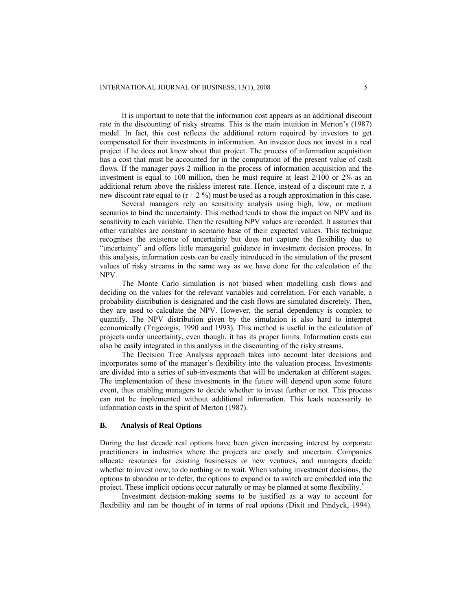It is important to note that the information cost appears as an additional discount rate in the discounting of risky streams. This is the main intuition in Merton's (1987) model. In fact, this cost reflects the additional return required by investors to get compensated for their investments in information. An investor does not invest in a real project if he does not know about that project. The process of information acquisition has a cost that must be accounted for in the computation of the present value of cash flows. If the manager pays 2 million in the process of information acquisition and the investment is equal to 100 million, then he must require at least 2/100 or 2% as an additional return above the riskless interest rate. Hence, instead of a discount rate r, a new discount rate equal to  $(r + 2\%)$  must be used as a rough approximation in this case.

Several managers rely on sensitivity analysis using high, low, or medium scenarios to bind the uncertainty. This method tends to show the impact on NPV and its sensitivity to each variable. Then the resulting NPV values are recorded. It assumes that other variables are constant in scenario base of their expected values. This technique recognises the existence of uncertainty but does not capture the flexibility due to "uncertainty" and offers little managerial guidance in investment decision process. In this analysis, information costs can be easily introduced in the simulation of the present values of risky streams in the same way as we have done for the calculation of the NPV.

The Monte Carlo simulation is not biased when modelling cash flows and deciding on the values for the relevant variables and correlation. For each variable, a probability distribution is designated and the cash flows are simulated discretely. Then, they are used to calculate the NPV. However, the serial dependency is complex to quantify. The NPV distribution given by the simulation is also hard to interpret economically (Trigeorgis, 1990 and 1993). This method is useful in the calculation of projects under uncertainty, even though, it has its proper limits. Information costs can also be easily integrated in this analysis in the discounting of the risky streams.

The Decision Tree Analysis approach takes into account later decisions and incorporates some of the manager's flexibility into the valuation process. Investments are divided into a series of sub-investments that will be undertaken at different stages. The implementation of these investments in the future will depend upon some future event, thus enabling managers to decide whether to invest further or not. This process can not be implemented without additional information. This leads necessarily to information costs in the spirit of Merton (1987).

# **B. Analysis of Real Options**

During the last decade real options have been given increasing interest by corporate practitioners in industries where the projects are costly and uncertain. Companies allocate resources for existing businesses or new ventures, and managers decide whether to invest now, to do nothing or to wait. When valuing investment decisions, the options to abandon or to defer, the options to expand or to switch are embedded into the project. These implicit options occur naturally or may be planned at some flexibility.<sup>5</sup>

Investment decision-making seems to be justified as a way to account for flexibility and can be thought of in terms of real options (Dixit and Pindyck, 1994).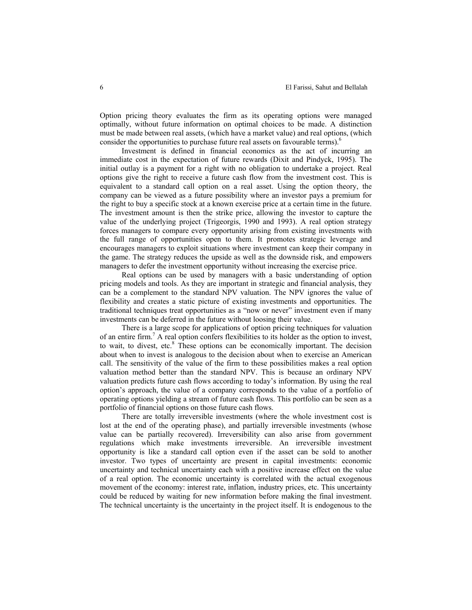Option pricing theory evaluates the firm as its operating options were managed optimally, without future information on optimal choices to be made. A distinction must be made between real assets, (which have a market value) and real options, (which consider the opportunities to purchase future real assets on favourable terms).<sup>6</sup>

Investment is defined in financial economics as the act of incurring an immediate cost in the expectation of future rewards (Dixit and Pindyck, 1995). The initial outlay is a payment for a right with no obligation to undertake a project. Real options give the right to receive a future cash flow from the investment cost. This is equivalent to a standard call option on a real asset. Using the option theory, the company can be viewed as a future possibility where an investor pays a premium for the right to buy a specific stock at a known exercise price at a certain time in the future. The investment amount is then the strike price, allowing the investor to capture the value of the underlying project (Trigeorgis, 1990 and 1993). A real option strategy forces managers to compare every opportunity arising from existing investments with the full range of opportunities open to them. It promotes strategic leverage and encourages managers to exploit situations where investment can keep their company in the game. The strategy reduces the upside as well as the downside risk, and empowers managers to defer the investment opportunity without increasing the exercise price.

Real options can be used by managers with a basic understanding of option pricing models and tools. As they are important in strategic and financial analysis, they can be a complement to the standard NPV valuation. The NPV ignores the value of flexibility and creates a static picture of existing investments and opportunities. The traditional techniques treat opportunities as a "now or never" investment even if many investments can be deferred in the future without loosing their value.

There is a large scope for applications of option pricing techniques for valuation of an entire firm.<sup>7</sup> A real option confers flexibilities to its holder as the option to invest, to wait, to divest, etc. $8$  These options can be economically important. The decision about when to invest is analogous to the decision about when to exercise an American call. The sensitivity of the value of the firm to these possibilities makes a real option valuation method better than the standard NPV. This is because an ordinary NPV valuation predicts future cash flows according to today's information. By using the real option's approach, the value of a company corresponds to the value of a portfolio of operating options yielding a stream of future cash flows. This portfolio can be seen as a portfolio of financial options on those future cash flows.

There are totally irreversible investments (where the whole investment cost is lost at the end of the operating phase), and partially irreversible investments (whose value can be partially recovered). Irreversibility can also arise from government regulations which make investments irreversible. An irreversible investment opportunity is like a standard call option even if the asset can be sold to another investor. Two types of uncertainty are present in capital investments: economic uncertainty and technical uncertainty each with a positive increase effect on the value of a real option. The economic uncertainty is correlated with the actual exogenous movement of the economy: interest rate, inflation, industry prices, etc. This uncertainty could be reduced by waiting for new information before making the final investment. The technical uncertainty is the uncertainty in the project itself. It is endogenous to the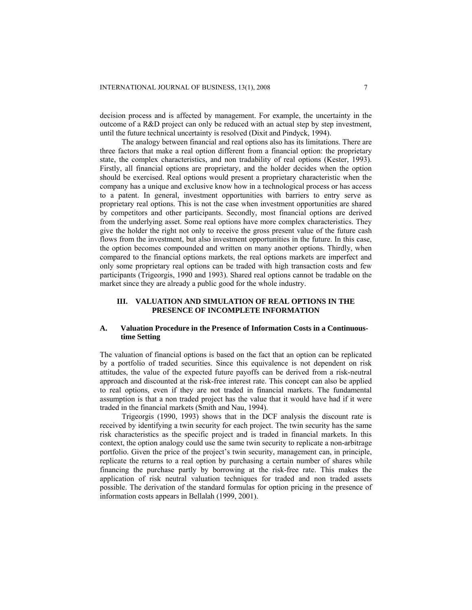decision process and is affected by management. For example, the uncertainty in the outcome of a R&D project can only be reduced with an actual step by step investment, until the future technical uncertainty is resolved (Dixit and Pindyck, 1994).

The analogy between financial and real options also has its limitations. There are three factors that make a real option different from a financial option: the proprietary state, the complex characteristics, and non tradability of real options (Kester, 1993). Firstly, all financial options are proprietary, and the holder decides when the option should be exercised. Real options would present a proprietary characteristic when the company has a unique and exclusive know how in a technological process or has access to a patent. In general, investment opportunities with barriers to entry serve as proprietary real options. This is not the case when investment opportunities are shared by competitors and other participants. Secondly, most financial options are derived from the underlying asset. Some real options have more complex characteristics. They give the holder the right not only to receive the gross present value of the future cash flows from the investment, but also investment opportunities in the future. In this case, the option becomes compounded and written on many another options. Thirdly, when compared to the financial options markets, the real options markets are imperfect and only some proprietary real options can be traded with high transaction costs and few participants (Trigeorgis, 1990 and 1993). Shared real options cannot be tradable on the market since they are already a public good for the whole industry.

# **III. VALUATION AND SIMULATION OF REAL OPTIONS IN THE PRESENCE OF INCOMPLETE INFORMATION**

# **A. Valuation Procedure in the Presence of Information Costs in a Continuoustime Setting**

The valuation of financial options is based on the fact that an option can be replicated by a portfolio of traded securities. Since this equivalence is not dependent on risk attitudes, the value of the expected future payoffs can be derived from a risk-neutral approach and discounted at the risk-free interest rate. This concept can also be applied to real options, even if they are not traded in financial markets. The fundamental assumption is that a non traded project has the value that it would have had if it were traded in the financial markets (Smith and Nau, 1994).

Trigeorgis (1990, 1993) shows that in the DCF analysis the discount rate is received by identifying a twin security for each project. The twin security has the same risk characteristics as the specific project and is traded in financial markets. In this context, the option analogy could use the same twin security to replicate a non-arbitrage portfolio. Given the price of the project's twin security, management can, in principle, replicate the returns to a real option by purchasing a certain number of shares while financing the purchase partly by borrowing at the risk-free rate. This makes the application of risk neutral valuation techniques for traded and non traded assets possible. The derivation of the standard formulas for option pricing in the presence of information costs appears in Bellalah (1999, 2001).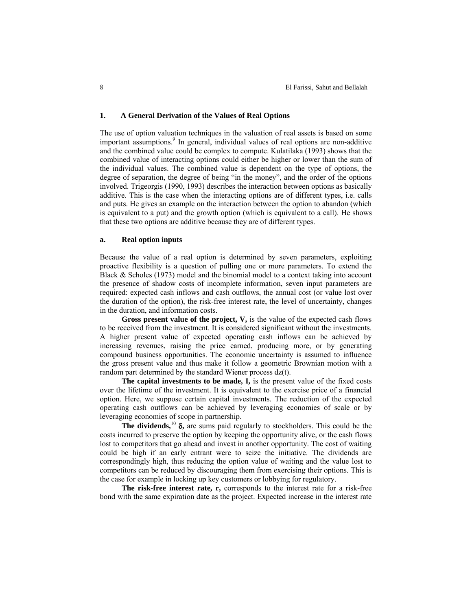### **1. A General Derivation of the Values of Real Options**

The use of option valuation techniques in the valuation of real assets is based on some important assumptions.<sup>9</sup> In general, individual values of real options are non-additive and the combined value could be complex to compute. Kulatilaka (1993) shows that the combined value of interacting options could either be higher or lower than the sum of the individual values. The combined value is dependent on the type of options, the degree of separation, the degree of being "in the money", and the order of the options involved. Trigeorgis (1990, 1993) describes the interaction between options as basically additive. This is the case when the interacting options are of different types, i.e. calls and puts. He gives an example on the interaction between the option to abandon (which is equivalent to a put) and the growth option (which is equivalent to a call). He shows that these two options are additive because they are of different types.

#### **a. Real option inputs**

Because the value of a real option is determined by seven parameters, exploiting proactive flexibility is a question of pulling one or more parameters. To extend the Black & Scholes (1973) model and the binomial model to a context taking into account the presence of shadow costs of incomplete information, seven input parameters are required: expected cash inflows and cash outflows, the annual cost (or value lost over the duration of the option), the risk-free interest rate, the level of uncertainty, changes in the duration, and information costs.

**Gross present value of the project, V,** is the value of the expected cash flows to be received from the investment. It is considered significant without the investments. A higher present value of expected operating cash inflows can be achieved by increasing revenues, raising the price earned, producing more, or by generating compound business opportunities. The economic uncertainty is assumed to influence the gross present value and thus make it follow a geometric Brownian motion with a random part determined by the standard Wiener process dz(t).

**The capital investments to be made, I,** is the present value of the fixed costs over the lifetime of the investment. It is equivalent to the exercise price of a financial option. Here, we suppose certain capital investments. The reduction of the expected operating cash outflows can be achieved by leveraging economies of scale or by leveraging economies of scope in partnership.

**The dividends,**<sup>10</sup> δ**,** are sums paid regularly to stockholders. This could be the costs incurred to preserve the option by keeping the opportunity alive, or the cash flows lost to competitors that go ahead and invest in another opportunity. The cost of waiting could be high if an early entrant were to seize the initiative. The dividends are correspondingly high, thus reducing the option value of waiting and the value lost to competitors can be reduced by discouraging them from exercising their options. This is the case for example in locking up key customers or lobbying for regulatory.

**The risk-free interest rate, r,** corresponds to the interest rate for a risk-free bond with the same expiration date as the project. Expected increase in the interest rate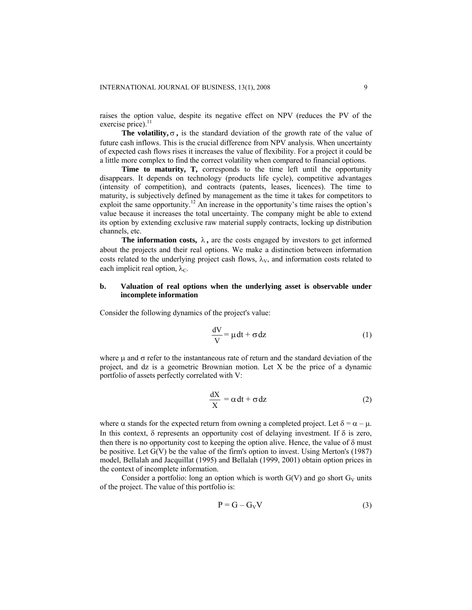raises the option value, despite its negative effect on NPV (reduces the PV of the exercise price). $^{11}$ 

The volatility,  $\sigma$ , is the standard deviation of the growth rate of the value of future cash inflows. This is the crucial difference from NPV analysis. When uncertainty of expected cash flows rises it increases the value of flexibility. For a project it could be a little more complex to find the correct volatility when compared to financial options.

Time to maturity, T, corresponds to the time left until the opportunity disappears. It depends on technology (products life cycle), competitive advantages (intensity of competition), and contracts (patents, leases, licences). The time to maturity, is subjectively defined by management as the time it takes for competitors to exploit the same opportunity.<sup>12</sup> An increase in the opportunity's time raises the option's value because it increases the total uncertainty. The company might be able to extend its option by extending exclusive raw material supply contracts, locking up distribution channels, etc.

**The information costs,**  $\lambda$ **, are the costs engaged by investors to get informed** about the projects and their real options. We make a distinction between information costs related to the underlying project cash flows,  $\lambda_V$ , and information costs related to each implicit real option,  $\lambda_c$ .

# **b. Valuation of real options when the underlying asset is observable under incomplete information**

Consider the following dynamics of the project's value:

$$
\frac{dV}{V} = \mu dt + \sigma dz
$$
 (1)

where  $\mu$  and  $\sigma$  refer to the instantaneous rate of return and the standard deviation of the project, and dz is a geometric Brownian motion. Let X be the price of a dynamic portfolio of assets perfectly correlated with V:

$$
\frac{dX}{X} = \alpha dt + \sigma dz
$$
 (2)

where  $\alpha$  stands for the expected return from owning a completed project. Let  $\delta = \alpha - \mu$ . In this context,  $\delta$  represents an opportunity cost of delaying investment. If  $\delta$  is zero, then there is no opportunity cost to keeping the option alive. Hence, the value of  $\delta$  must be positive. Let G(V) be the value of the firm's option to invest. Using Merton's (1987) model, Bellalah and Jacquillat (1995) and Bellalah (1999, 2001) obtain option prices in the context of incomplete information.

Consider a portfolio: long an option which is worth  $G(V)$  and go short  $G_V$  units of the project. The value of this portfolio is:

$$
P = G - G_V V \tag{3}
$$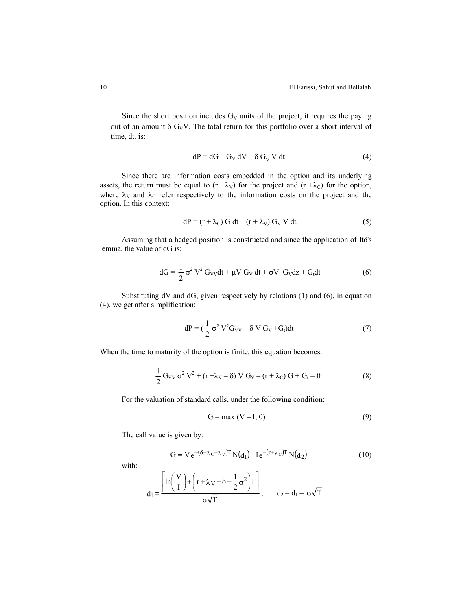Since the short position includes  $G_V$  units of the project, it requires the paying out of an amount  $\delta G_VV$ . The total return for this portfolio over a short interval of time, dt, is:

$$
dP = dG - G_V dV - \delta G_V V dt
$$
 (4)

Since there are information costs embedded in the option and its underlying assets, the return must be equal to  $(r + \lambda_V)$  for the project and  $(r + \lambda_C)$  for the option, where  $\lambda_V$  and  $\lambda_C$  refer respectively to the information costs on the project and the option. In this context:

$$
dP = (r + \lambda_C) G dt - (r + \lambda_V) G_V V dt
$$
 (5)

Assuming that a hedged position is constructed and since the application of Itô's lemma, the value of dG is:

$$
dG = \frac{1}{2} \sigma^2 V^2 G_{VV} dt + \mu V G_V dt + \sigma V G_V dz + G_t dt
$$
 (6)

Substituting dV and dG, given respectively by relations (1) and (6), in equation (4), we get after simplification:

$$
dP = \left(\frac{1}{2}\sigma^2 V^2 G_{VV} - \delta V G_V + G_t\right)dt\tag{7}
$$

When the time to maturity of the option is finite, this equation becomes:

$$
\frac{1}{2} G_{VV} \sigma^2 V^2 + (r + \lambda_V - \delta) V G_V - (r + \lambda_C) G + G_t = 0
$$
 (8)

For the valuation of standard calls, under the following condition:

$$
G = \max(V - I, 0) \tag{9}
$$

The call value is given by:

$$
G = V e^{-(\delta + \lambda_C - \lambda_V)T} N(d_1) - I e^{-(r + \lambda_C)T} N(d_2)
$$
 (10)

with:

$$
d_1 = \frac{\left[ ln\left(\frac{V}{I}\right) + \left(r + \lambda_V - \delta + \frac{1}{2}\sigma^2\right)T\right]}{\sigma\sqrt{T}}, \qquad d_2 = d_1 - \sigma\sqrt{T}.
$$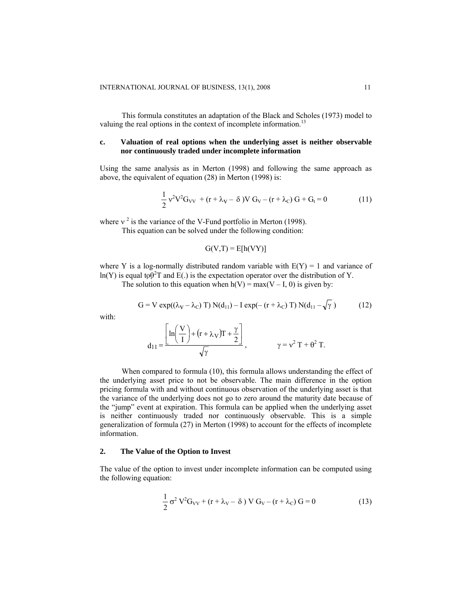This formula constitutes an adaptation of the Black and Scholes (1973) model to valuing the real options in the context of incomplete information.<sup>13</sup>

# **c. Valuation of real options when the underlying asset is neither observable nor continuously traded under incomplete information**

Using the same analysis as in Merton (1998) and following the same approach as above, the equivalent of equation (28) in Merton (1998) is:

$$
\frac{1}{2}v^2V^2G_{VV} + (r + \lambda_V - \delta)V G_V - (r + \lambda_C)G + G_t = 0
$$
 (11)

where  $v^2$  is the variance of the V-Fund portfolio in Merton (1998).

This equation can be solved under the following condition:

$$
G(V,T) = E[h(VY)]
$$

where Y is a log-normally distributed random variable with  $E(Y) = 1$  and variance of  $ln(Y)$  is equal to  $\theta^2 T$  and  $E(.)$  is the expectation operator over the distribution of Y.

The solution to this equation when  $h(V) = max(V - I, 0)$  is given by:

$$
G = V \exp((\lambda_V - \lambda_C) T) N(d_{11}) - I \exp(-(r + \lambda_C) T) N(d_{11} - \sqrt{\gamma})
$$
 (12)

with:

$$
d_{11} = \frac{\left[\ln\left(\frac{V}{I}\right) + (r + \lambda_V)T + \frac{\gamma}{2}\right]}{\sqrt{\gamma}}, \qquad \gamma = v^2 T + \theta^2 T.
$$

When compared to formula (10), this formula allows understanding the effect of the underlying asset price to not be observable. The main difference in the option pricing formula with and without continuous observation of the underlying asset is that the variance of the underlying does not go to zero around the maturity date because of the "jump" event at expiration. This formula can be applied when the underlying asset is neither continuously traded nor continuously observable. This is a simple generalization of formula (27) in Merton (1998) to account for the effects of incomplete information.

# **2. The Value of the Option to Invest**

The value of the option to invest under incomplete information can be computed using the following equation:

$$
\frac{1}{2}\sigma^2 V^2 G_{VV} + (r + \lambda_V - \delta) V G_V - (r + \lambda_C) G = 0
$$
 (13)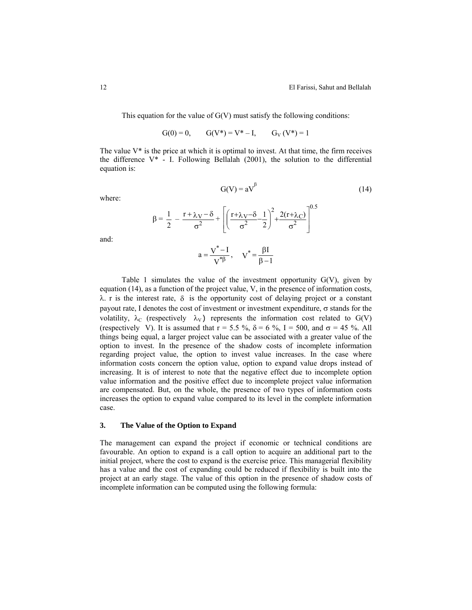(14)

This equation for the value of  $G(V)$  must satisfy the following conditions:

 $G(0) = 0$ ,  $G(V^*) = V^* - I$ ,  $G_V(V^*) = 1$ 

The value  $V^*$  is the price at which it is optimal to invest. At that time, the firm receives the difference V\* - I. Following Bellalah (2001), the solution to the differential equation is:

 $G(V) = aV^{\beta}$ 

where:

$$
\beta = \frac{1}{2} - \frac{r + \lambda v - \delta}{\sigma^2} + \left[ \left( \frac{r + \lambda v - \delta - 1}{\sigma^2} \right)^2 + \frac{2(r + \lambda c)}{\sigma^2} \right]^{0.5}
$$

$$
a = \frac{v^* - I}{v^{* \beta}}, \quad v^* = \frac{\beta I}{\beta - 1}
$$

and:

Table 1 simulates the value of the investment opportunity  $G(V)$ , given by equation  $(14)$ , as a function of the project value, V, in the presence of information costs,  $\lambda$ . r is the interest rate,  $\delta$  is the opportunity cost of delaying project or a constant payout rate, I denotes the cost of investment or investment expenditure,  $\sigma$  stands for the volatility,  $\lambda_c$  (respectively  $\lambda_v$ ) represents the information cost related to G(V) (respectively V). It is assumed that  $r = 5.5 \%$ ,  $\delta = 6 \%$ ,  $I = 500$ , and  $\sigma = 45 \%$ . All things being equal, a larger project value can be associated with a greater value of the option to invest. In the presence of the shadow costs of incomplete information regarding project value, the option to invest value increases. In the case where information costs concern the option value, option to expand value drops instead of increasing. It is of interest to note that the negative effect due to incomplete option value information and the positive effect due to incomplete project value information are compensated. But, on the whole, the presence of two types of information costs increases the option to expand value compared to its level in the complete information case.

# **3. The Value of the Option to Expand**

The management can expand the project if economic or technical conditions are favourable. An option to expand is a call option to acquire an additional part to the initial project, where the cost to expand is the exercise price. This managerial flexibility has a value and the cost of expanding could be reduced if flexibility is built into the project at an early stage. The value of this option in the presence of shadow costs of incomplete information can be computed using the following formula: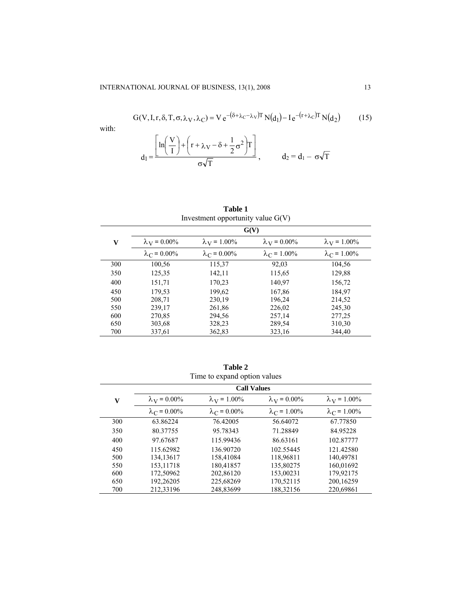$$
G(V, I, r, \delta, T, \sigma, \lambda_V, \lambda_C) = V e^{-(\delta + \lambda_C - \lambda_V)T} N(d_1) - I e^{-(r + \lambda_C)T} N(d_2)
$$
(15)

with:

$$
d_1 = \frac{\left[\ln\left(\frac{V}{I}\right) + \left(r + \lambda_V - \delta + \frac{1}{2}\sigma^2\right)T\right]}{\sigma\sqrt{T}}, \qquad d_2 = d_1 - \sigma\sqrt{T}
$$

**Table 1** 

| Investment opportunity value $G(V)$ |                            |                            |                            |                            |  |  |
|-------------------------------------|----------------------------|----------------------------|----------------------------|----------------------------|--|--|
|                                     | G(V)                       |                            |                            |                            |  |  |
| $\mathbf{V}$                        | $\lambda_{\rm V} = 0.00\%$ | $\lambda_{\rm V} = 1.00\%$ | $\lambda_{\rm V} = 0.00\%$ | $\lambda_{\rm V} = 1.00\%$ |  |  |
|                                     | $\lambda_C = 0.00\%$       | $\lambda_C = 0.00\%$       | $\lambda_C = 1.00\%$       | $\lambda_C = 1.00\%$       |  |  |
| 300                                 | 100,56                     | 115,37                     | 92,03                      | 104,56                     |  |  |
| 350                                 | 125,35                     | 142,11                     | 115,65                     | 129,88                     |  |  |
| 400                                 | 151,71                     | 170,23                     | 140,97                     | 156,72                     |  |  |
| 450                                 | 179,53                     | 199,62                     | 167,86                     | 184,97                     |  |  |
| 500                                 | 208,71                     | 230,19                     | 196,24                     | 214,52                     |  |  |
| 550                                 | 239,17                     | 261,86                     | 226,02                     | 245,30                     |  |  |
| 600                                 | 270,85                     | 294,56                     | 257,14                     | 277,25                     |  |  |
| 650                                 | 303,68                     | 328,23                     | 289,54                     | 310,30                     |  |  |
| 700                                 | 337,61                     | 362,83                     | 323,16                     | 344,40                     |  |  |

| THIN TO CAPAIN OPHOT VAID S |                            |                            |                            |                            |  |  |  |
|-----------------------------|----------------------------|----------------------------|----------------------------|----------------------------|--|--|--|
|                             | <b>Call Values</b>         |                            |                            |                            |  |  |  |
| V                           | $\lambda_{\rm V} = 0.00\%$ | $\lambda_{\rm V} = 1.00\%$ | $\lambda_{\rm V} = 0.00\%$ | $\lambda_{\rm V} = 1.00\%$ |  |  |  |
|                             | $\lambda_C = 0.00\%$       | $\lambda_C = 0.00\%$       | $\lambda_C = 1.00\%$       | $\lambda_C = 1.00\%$       |  |  |  |
| 300                         | 63.86224                   | 76.42005                   | 56.64072                   | 67.77850                   |  |  |  |
| 350                         | 80.37755                   | 95.78343                   | 71.28849                   | 84.95228                   |  |  |  |
| 400                         | 97.67687                   | 115.99436                  | 86.63161                   | 102.87777                  |  |  |  |
| 450                         | 115.62982                  | 136.90720                  | 102.55445                  | 121.42580                  |  |  |  |
| 500                         | 134.13617                  | 158.41084                  | 118,96811                  | 140.49781                  |  |  |  |
| 550                         | 153,11718                  | 180,41857                  | 135,80275                  | 160,01692                  |  |  |  |
| 600                         | 172,50962                  | 202,86120                  | 153,00231                  | 179,92175                  |  |  |  |
| 650                         | 192,26205                  | 225,68269                  | 170,52115                  | 200,16259                  |  |  |  |
| 700                         | 212,33196                  | 248.83699                  | 188.32156                  | 220,69861                  |  |  |  |

**Table 2**  Time to expand option values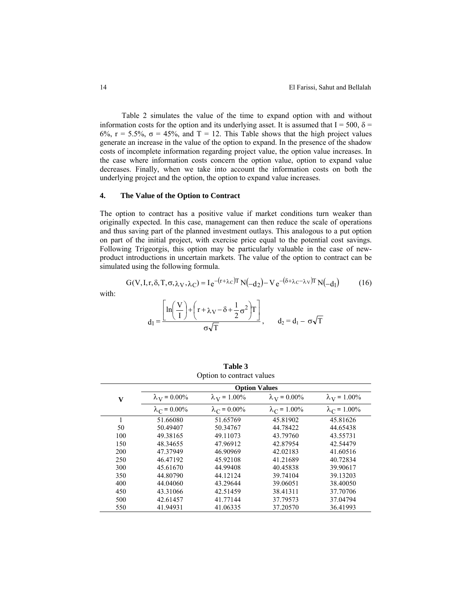Table 2 simulates the value of the time to expand option with and without information costs for the option and its underlying asset. It is assumed that  $I = 500$ ,  $\delta =$ 6%, r = 5.5%, σ = 45%, and T = 12. This Table shows that the high project values generate an increase in the value of the option to expand. In the presence of the shadow costs of incomplete information regarding project value, the option value increases. In the case where information costs concern the option value, option to expand value decreases. Finally, when we take into account the information costs on both the underlying project and the option, the option to expand value increases.

# **4. The Value of the Option to Contract**

The option to contract has a positive value if market conditions turn weaker than originally expected. In this case, management can then reduce the scale of operations and thus saving part of the planned investment outlays. This analogous to a put option on part of the initial project, with exercise price equal to the potential cost savings. Following Trigeorgis, this option may be particularly valuable in the case of newproduct introductions in uncertain markets. The value of the option to contract can be simulated using the following formula.

$$
G(V, I, r, \delta, T, \sigma, \lambda_V, \lambda_C) = I e^{-(r + \lambda_C)T} N(-d_2) - V e^{-(\delta + \lambda_C - \lambda_V)T} N(-d_1)
$$
(16)

with:

$$
d_1 = \frac{\left[\ln\!\left(\frac{V}{I}\right)\!+\!\left(r+\lambda_V\!-\!\delta\!+\!\frac{1}{2}\sigma^2\right)\!T\right]}{\sigma\sqrt{T}}, \qquad d_2 = d_1 - \sigma\sqrt{T}
$$

|              |                      | Option to contract values |                        |                        |  |  |  |
|--------------|----------------------|---------------------------|------------------------|------------------------|--|--|--|
|              | <b>Option Values</b> |                           |                        |                        |  |  |  |
| $\mathbf{V}$ | $\lambda_V = 0.00\%$ | $\lambda_{V} = 1.00\%$    | $\lambda_{V} = 0.00\%$ | $\lambda_{V} = 1.00\%$ |  |  |  |
|              | $\lambda_C = 0.00\%$ | $\lambda_C = 0.00\%$      | $\lambda_C = 1.00\%$   | $\lambda_C = 1.00\%$   |  |  |  |
|              | 51.66080             | 51.65769                  | 45.81902               | 45.81626               |  |  |  |
| 50           | 50.49407             | 50.34767                  | 44.78422               | 44.65438               |  |  |  |
| 100          | 49.38165             | 49.11073                  | 43.79760               | 43.55731               |  |  |  |
| 150          | 48.34655             | 47.96912                  | 42.87954               | 42.54479               |  |  |  |
| 200          | 47.37949             | 46.90969                  | 42.02183               | 41.60516               |  |  |  |
| 250          | 46.47192             | 45.92108                  | 41.21689               | 40.72834               |  |  |  |
| 300          | 45.61670             | 44.99408                  | 40.45838               | 39.90617               |  |  |  |
| 350          | 44.80790             | 44.12124                  | 39.74104               | 39.13203               |  |  |  |
| 400          | 44.04060             | 43.29644                  | 39.06051               | 38.40050               |  |  |  |
| 450          | 43.31066             | 42.51459                  | 38.41311               | 37.70706               |  |  |  |
| 500          | 42.61457             | 41.77144                  | 37.79573               | 37.04794               |  |  |  |
| 550          | 41.94931             | 41.06335                  | 37.20570               | 36.41993               |  |  |  |

**Table 3**  Option to contract values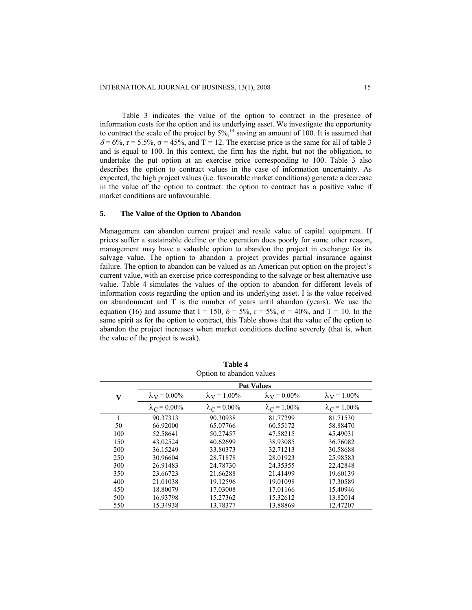Table 3 indicates the value of the option to contract in the presence of information costs for the option and its underlying asset. We investigate the opportunity to contract the scale of the project by  $5\%$ ,<sup>14</sup> saving an amount of 100. It is assumed that  $\delta$  = 6%, r = 5.5%,  $\sigma$  = 45%, and T = 12. The exercise price is the same for all of table 3 and is equal to 100. In this context, the firm has the right, but not the obligation, to undertake the put option at an exercise price corresponding to 100. Table 3 also describes the option to contract values in the case of information uncertainty. As expected, the high project values (i.e. favourable market conditions) generate a decrease in the value of the option to contract: the option to contract has a positive value if market conditions are unfavourable.

# **5. The Value of the Option to Abandon**

Management can abandon current project and resale value of capital equipment. If prices suffer a sustainable decline or the operation does poorly for some other reason, management may have a valuable option to abandon the project in exchange for its salvage value. The option to abandon a project provides partial insurance against failure. The option to abandon can be valued as an American put option on the project's current value, with an exercise price corresponding to the salvage or best alternative use value. Table 4 simulates the values of the option to abandon for different levels of information costs regarding the option and its underlying asset. I is the value received on abandonment and T is the number of years until abandon (years). We use the equation (16) and assume that I = 150,  $\delta = 5\%$ ,  $r = 5\%$ ,  $\sigma = 40\%$ , and T = 10. In the same spirit as for the option to contract, this Table shows that the value of the option to abandon the project increases when market conditions decline severely (that is, when the value of the project is weak).

|              | <b>Put Values</b>         |                      |                           |                           |  |  |  |
|--------------|---------------------------|----------------------|---------------------------|---------------------------|--|--|--|
| $\mathbf{V}$ | $\lambda_{\rm V}$ = 0.00% | $\lambda_V = 1.00\%$ | $\lambda_{\rm V}$ = 0.00% | $\lambda_{\rm V}$ = 1.00% |  |  |  |
|              | $\lambda_C = 0.00\%$      | $\lambda_C = 0.00\%$ | $\lambda_C = 1.00\%$      | $\lambda_C = 1.00\%$      |  |  |  |
| 1            | 90.37313                  | 90.30938             | 81.77299                  | 81.71530                  |  |  |  |
| 50           | 66.92000                  | 65.07766             | 60.55172                  | 58.88470                  |  |  |  |
| 100          | 52.58641                  | 50.27457             | 47.58215                  | 45.49031                  |  |  |  |
| 150          | 43.02524                  | 40.62699             | 38.93085                  | 36.76082                  |  |  |  |
| 200          | 36.15249                  | 33.80373             | 32.71213                  | 30.58688                  |  |  |  |
| 250          | 30.96604                  | 28.71878             | 28.01923                  | 25.98583                  |  |  |  |
| 300          | 26.91483                  | 24.78730             | 24.35355                  | 22.42848                  |  |  |  |
| 350          | 23.66723                  | 21.66288             | 21.41499                  | 19.60139                  |  |  |  |
| 400          | 21.01038                  | 19.12596             | 19.01098                  | 17.30589                  |  |  |  |
| 450          | 18.80079                  | 17.03008             | 17.01166                  | 15.40946                  |  |  |  |
| 500          | 16.93798                  | 15.27362             | 15.32612                  | 13.82014                  |  |  |  |
| 550          | 15.34938                  | 13.78377             | 13.88869                  | 12.47207                  |  |  |  |

**Table 4** Option to abandon values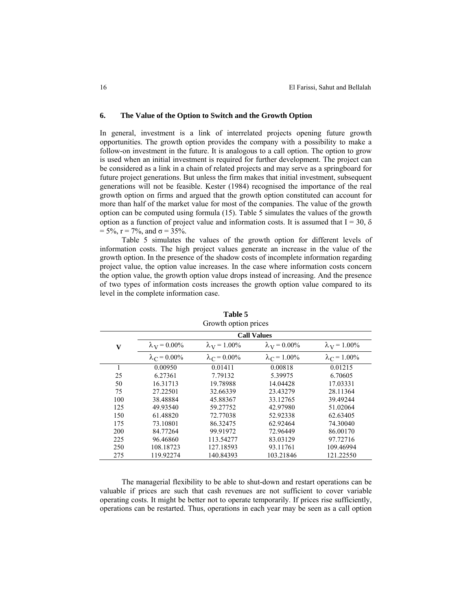#### **6. The Value of the Option to Switch and the Growth Option**

In general, investment is a link of interrelated projects opening future growth opportunities. The growth option provides the company with a possibility to make a follow-on investment in the future. It is analogous to a call option. The option to grow is used when an initial investment is required for further development. The project can be considered as a link in a chain of related projects and may serve as a springboard for future project generations. But unless the firm makes that initial investment, subsequent generations will not be feasible. Kester (1984) recognised the importance of the real growth option on firms and argued that the growth option constituted can account for more than half of the market value for most of the companies. The value of the growth option can be computed using formula (15). Table 5 simulates the values of the growth option as a function of project value and information costs. It is assumed that  $I = 30$ ,  $\delta$  $= 5\%, r = 7\%, \text{ and } \sigma = 35\%.$ 

Table 5 simulates the values of the growth option for different levels of information costs. The high project values generate an increase in the value of the growth option. In the presence of the shadow costs of incomplete information regarding project value, the option value increases. In the case where information costs concern the option value, the growth option value drops instead of increasing. And the presence of two types of information costs increases the growth option value compared to its level in the complete information case.

|              |                      | л.<br>л.             |                           |                           |  |  |  |
|--------------|----------------------|----------------------|---------------------------|---------------------------|--|--|--|
|              | <b>Call Values</b>   |                      |                           |                           |  |  |  |
| $\mathbf{V}$ | $\lambda_V = 0.00\%$ | $\lambda_V = 1.00\%$ | $\lambda_{\rm V}$ = 0.00% | $\lambda_{\rm V}$ = 1.00% |  |  |  |
|              | $\lambda_C = 0.00\%$ | $\lambda_C = 0.00\%$ | $\lambda_C = 1.00\%$      | $\lambda_C = 1.00\%$      |  |  |  |
|              | 0.00950              | 0.01411              | 0.00818                   | 0.01215                   |  |  |  |
| 25           | 6.27361              | 7.79132              | 5.39975                   | 6.70605                   |  |  |  |
| 50           | 16.31713             | 19.78988             | 14.04428                  | 17.03331                  |  |  |  |
| 75           | 27.22501             | 32.66339             | 23.43279                  | 28.11364                  |  |  |  |
| 100          | 38.48884             | 45.88367             | 33.12765                  | 39.49244                  |  |  |  |
| 125          | 49.93540             | 59.27752             | 42.97980                  | 51.02064                  |  |  |  |
| 150          | 61.48820             | 72.77038             | 52.92338                  | 62.63405                  |  |  |  |
| 175          | 73.10801             | 86.32475             | 62.92464                  | 74.30040                  |  |  |  |
| 200          | 84.77264             | 99.91972             | 72.96449                  | 86.00170                  |  |  |  |
| 225          | 96.46860             | 113.54277            | 83.03129                  | 97.72716                  |  |  |  |
| 250          | 108.18723            | 127.18593            | 93.11761                  | 109.46994                 |  |  |  |
| 275          | 119.92274            | 140.84393            | 103.21846                 | 121.22550                 |  |  |  |

**Table 5**  Growth option prices

The managerial flexibility to be able to shut-down and restart operations can be valuable if prices are such that cash revenues are not sufficient to cover variable operating costs. It might be better not to operate temporarily. If prices rise sufficiently, operations can be restarted. Thus, operations in each year may be seen as a call option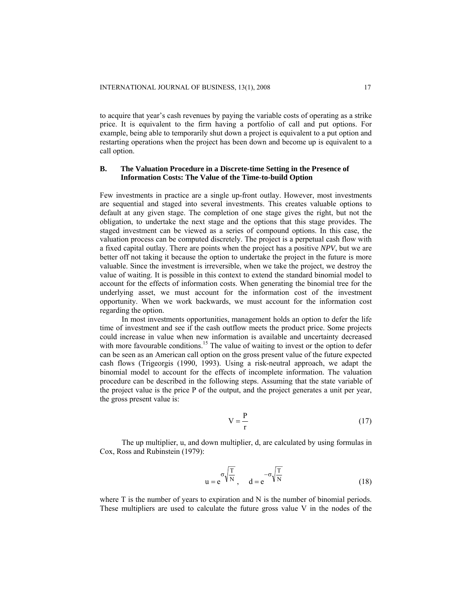to acquire that year's cash revenues by paying the variable costs of operating as a strike price. It is equivalent to the firm having a portfolio of call and put options. For example, being able to temporarily shut down a project is equivalent to a put option and restarting operations when the project has been down and become up is equivalent to a call option.

# **B. The Valuation Procedure in a Discrete-time Setting in the Presence of Information Costs: The Value of the Time-to-build Option**

Few investments in practice are a single up-front outlay. However, most investments are sequential and staged into several investments. This creates valuable options to default at any given stage. The completion of one stage gives the right, but not the obligation, to undertake the next stage and the options that this stage provides. The staged investment can be viewed as a series of compound options. In this case, the valuation process can be computed discretely. The project is a perpetual cash flow with a fixed capital outlay. There are points when the project has a positive *NPV*, but we are better off not taking it because the option to undertake the project in the future is more valuable. Since the investment is irreversible, when we take the project, we destroy the value of waiting. It is possible in this context to extend the standard binomial model to account for the effects of information costs. When generating the binomial tree for the underlying asset, we must account for the information cost of the investment opportunity. When we work backwards, we must account for the information cost regarding the option.

In most investments opportunities, management holds an option to defer the life time of investment and see if the cash outflow meets the product price. Some projects could increase in value when new information is available and uncertainty decreased with more favourable conditions.<sup>15</sup> The value of waiting to invest or the option to defer can be seen as an American call option on the gross present value of the future expected cash flows (Trigeorgis (1990, 1993). Using a risk-neutral approach, we adapt the binomial model to account for the effects of incomplete information. The valuation procedure can be described in the following steps. Assuming that the state variable of the project value is the price P of the output, and the project generates a unit per year, the gross present value is:

$$
V = \frac{P}{r}
$$
 (17)

The up multiplier, u, and down multiplier, d, are calculated by using formulas in Cox, Ross and Rubinstein (1979):

$$
u = e^{\sigma \sqrt{\frac{T}{N}}}, \quad d = e^{-\sigma \sqrt{\frac{T}{N}}} \tag{18}
$$

where T is the number of years to expiration and N is the number of binomial periods. These multipliers are used to calculate the future gross value V in the nodes of the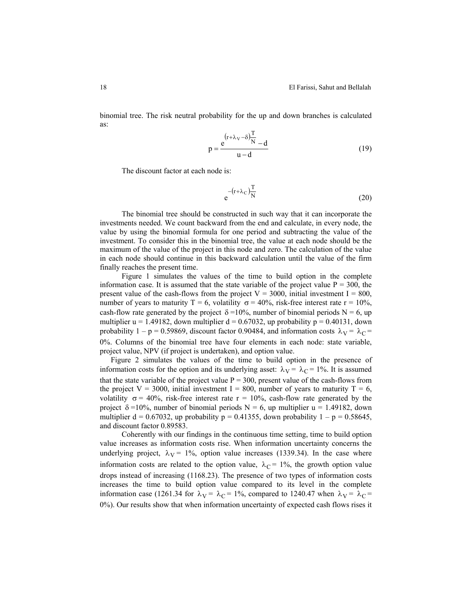binomial tree. The risk neutral probability for the up and down branches is calculated as:

$$
p = \frac{e^{(r + \lambda_V - \delta)\frac{T}{N}} - d}{u - d}
$$
 (19)

The discount factor at each node is:

$$
e^{-\left(r+\lambda_C\right)\frac{T}{N}}\tag{20}
$$

The binomial tree should be constructed in such way that it can incorporate the investments needed. We count backward from the end and calculate, in every node, the value by using the binomial formula for one period and subtracting the value of the investment. To consider this in the binomial tree, the value at each node should be the maximum of the value of the project in this node and zero. The calculation of the value in each node should continue in this backward calculation until the value of the firm finally reaches the present time.

Figure 1 simulates the values of the time to build option in the complete information case. It is assumed that the state variable of the project value  $P = 300$ , the present value of the cash-flows from the project  $V = 3000$ , initial investment I = 800, number of years to maturity T = 6, volatility  $\sigma$  = 40%, risk-free interest rate r = 10%, cash-flow rate generated by the project  $\delta = 10\%$ , number of binomial periods N = 6, up multiplier  $u = 1.49182$ , down multiplier  $d = 0.67032$ , up probability  $p = 0.40131$ , down probability 1 – p = 0.59869, discount factor 0.90484, and information costs  $\lambda_V = \lambda_C =$ 0%. Columns of the binomial tree have four elements in each node: state variable, project value, NPV (if project is undertaken), and option value.

Figure 2 simulates the values of the time to build option in the presence of information costs for the option and its underlying asset:  $\lambda_V = \lambda_C = 1\%$ . It is assumed that the state variable of the project value  $P = 300$ , present value of the cash-flows from the project  $V = 3000$ , initial investment I = 800, number of years to maturity T = 6, volatility  $\sigma = 40\%$ , risk-free interest rate  $r = 10\%$ , cash-flow rate generated by the project  $\delta = 10\%$ , number of binomial periods N = 6, up multiplier u = 1.49182, down multiplier  $d = 0.67032$ , up probability p = 0.41355, down probability 1 – p = 0.58645, and discount factor 0.89583.

Coherently with our findings in the continuous time setting, time to build option value increases as information costs rise. When information uncertainty concerns the underlying project,  $\lambda_V = 1\%$ , option value increases (1339.34). In the case where information costs are related to the option value,  $\lambda_C = 1\%$ , the growth option value drops instead of increasing (1168.23). The presence of two types of information costs increases the time to build option value compared to its level in the complete information case (1261.34 for  $\lambda_V = \lambda_C = 1\%$ , compared to 1240.47 when  $\lambda_V = \lambda_C =$ 0%). Our results show that when information uncertainty of expected cash flows rises it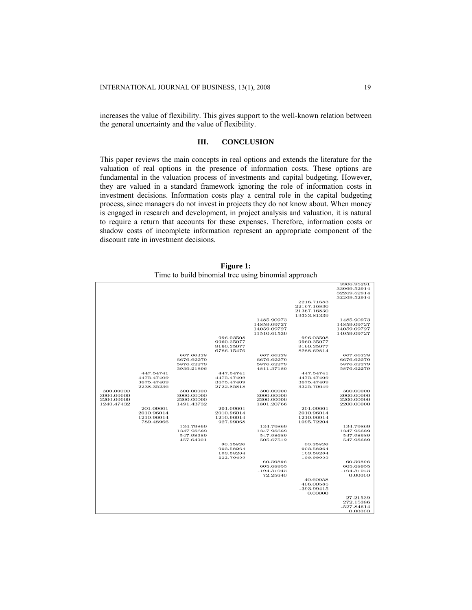increases the value of flexibility. This gives support to the well-known relation between the general uncertainty and the value of flexibility.

# **III. CONCLUSION**

This paper reviews the main concepts in real options and extends the literature for the valuation of real options in the presence of information costs. These options are fundamental in the valuation process of investments and capital budgeting. However, they are valued in a standard framework ignoring the role of information costs in investment decisions. Information costs play a central role in the capital budgeting process, since managers do not invest in projects they do not know about. When money is engaged in research and development, in project analysis and valuation, it is natural to require a return that accounts for these expenses. Therefore, information costs or shadow costs of incomplete information represent an appropriate component of the discount rate in investment decisions.

|            |            |                         |            |                         | . .          |                         |
|------------|------------|-------------------------|------------|-------------------------|--------------|-------------------------|
|            |            |                         |            |                         |              | 3306.95291              |
|            |            |                         |            |                         |              | 33069.52914             |
|            |            |                         |            |                         |              | 32269.52914             |
|            |            |                         |            |                         |              | 32269.52914             |
|            |            |                         |            |                         | 2216.71683   |                         |
|            |            |                         |            |                         | 22167.16830  |                         |
|            |            |                         |            |                         | 21367.16830  |                         |
|            |            |                         |            |                         | 19333.81339  |                         |
|            |            |                         |            | 1485.90973              |              | 1485.90973              |
|            |            |                         |            | 14859.09727             |              | 14859.09727             |
|            |            |                         |            | 14059.09727             |              | 14059.09727             |
|            |            |                         |            | 11510.61530             |              | 14059.09727             |
|            |            |                         | 996.03508  |                         | 996.03508    |                         |
|            |            |                         | 9960.35077 |                         | 9960.35077   |                         |
|            |            |                         | 9160.35077 |                         | 9160.35077   |                         |
|            |            |                         | 6786.15476 |                         | 8288.62814   |                         |
|            |            | 667.66228<br>6676.62279 |            | 667.66228<br>6676.62279 |              | 667.66228<br>6676.62279 |
|            |            | 5876.62279              |            | 5876.62279              |              | 5876.62279              |
|            |            | 3939.21806              |            | 4811.37180              |              | 5876.62279              |
|            | 447.54741  |                         | 447.54741  |                         | 447.54741    |                         |
|            | 4475.47409 |                         | 4475.47409 |                         | 4475.47409   |                         |
|            | 3675.47409 |                         | 3675.47409 |                         | 3675.47409   |                         |
|            | 2238.35236 |                         | 2722.85818 |                         | 3325.70649   |                         |
| 300.00000  |            | 300.00000               |            | 300,00000               |              | 300,00000               |
| 3000.00000 |            | 3000.00000              |            | 3000.00000              |              | 3000.00000              |
| 2200.00000 |            | 2200.00000              |            | 2200.00000              |              | 2200.00000              |
| 1240.47432 |            | 1491.43732              |            | 1801.20766              |              | 2200.00000              |
|            | 201.09601  |                         | 201.09601  |                         | 201.09601    |                         |
|            | 2010.96014 |                         | 2010.96014 |                         | 2010.96014   |                         |
|            | 1210.96014 |                         | 1210.96014 |                         | 1210.96014   |                         |
|            | 789.48966  |                         | 927.99068  |                         | 1095.72204   |                         |
|            |            | 134.79869               |            | 134.79869               |              | 134.79869               |
|            |            | 1347.98689              |            | 1347.98689              |              | 1347.98689              |
|            |            | 547.98689<br>457.64901  |            | 547.98689<br>505.67512  |              | 547.98689<br>547.98689  |
|            |            |                         | 90.35826   |                         | 90.35826     |                         |
|            |            |                         | 903.58264  |                         | 903.58264    |                         |
|            |            |                         | 103.58264  |                         | 103.58264    |                         |
|            |            |                         | 222.76435  |                         | 198.98633    |                         |
|            |            |                         |            | 60.56896                |              | 60.56896                |
|            |            |                         |            | 605.68955               |              | 605.68955               |
|            |            |                         |            | $-194.31045$            |              | $-194.31045$            |
|            |            |                         |            | 72.25640                |              | 0.00000                 |
|            |            |                         |            |                         | 40.60058     |                         |
|            |            |                         |            |                         | 406.00585    |                         |
|            |            |                         |            |                         | $-393.99415$ |                         |
|            |            |                         |            |                         | 0.00000      |                         |
|            |            |                         |            |                         |              | 27.21539                |
|            |            |                         |            |                         |              | 272.15386               |
|            |            |                         |            |                         |              | $-527.84614$            |
|            |            |                         |            |                         |              | 0.00000                 |

**Figure 1:**  Time to build binomial tree using binomial approach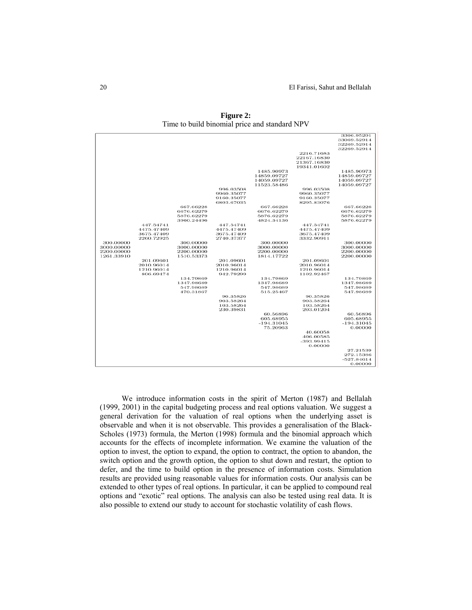|            |            |            |            |              |              | 3306.95291   |
|------------|------------|------------|------------|--------------|--------------|--------------|
|            |            |            |            |              |              | 33069.52914  |
|            |            |            |            |              |              | 32269.52914  |
|            |            |            |            |              |              | 32269.52914  |
|            |            |            |            |              | 2216.71683   |              |
|            |            |            |            |              | 22167.16830  |              |
|            |            |            |            |              | 21367.16830  |              |
|            |            |            |            |              | 19341.01602  |              |
|            |            |            |            | 1485.90973   |              | 1485.90973   |
|            |            |            |            | 14859.09727  |              | 14859.09727  |
|            |            |            |            | 14059.09727  |              | 14059.09727  |
|            |            |            |            | 11523.58486  |              | 14059.09727  |
|            |            |            | 996.03508  |              | 996.03508    |              |
|            |            |            | 9960.35077 |              | 9960.35077   |              |
|            |            |            | 9160.35077 |              | 9160.35077   |              |
|            |            |            | 6803.67035 |              | 8295.83076   |              |
|            |            | 667.66228  |            | 667.66228    |              | 667.66228    |
|            |            | 6676.62279 |            | 6676.62279   |              | 6676.62279   |
|            |            | 5876.62279 |            | 5876.62279   |              | 5876.62279   |
|            |            | 3960.24496 |            | 4824.34136   |              | 5876.62279   |
|            | 447.54741  |            | 447.54741  |              | 447.54741    |              |
|            | 4475.47409 |            | 4475.47409 |              | 4475.47409   |              |
|            | 3675.47409 |            | 3675.47409 |              | 3675.47409   |              |
|            | 2260.72925 |            | 2740.37377 |              | 3332.90911   |              |
| 300.00000  |            | 300.00000  |            | 300.00000    |              | 300.00000    |
| 3000.00000 |            | 3000.00000 |            | 3000.00000   |              | 3000.00000   |
| 2200.00000 |            | 2200.00000 |            | 2200.00000   |              | 2200.00000   |
| 1261.33910 |            | 1510.53373 |            | 1814.17722   |              | 2200.00000   |
|            | 201.09601  |            | 201.09601  |              | 201.09601    |              |
|            | 2010.96014 |            | 2010.96014 |              | 2010.96014   |              |
|            | 1210.96014 |            | 1210.96014 |              | 1210.96014   |              |
|            | 806.69474  |            | 942.79299  |              | 1102.92467   |              |
|            |            | 134.79869  |            | 134.79869    |              | 134.79869    |
|            |            | 1347.98689 |            | 1347.98689   |              | 1347.98689   |
|            |            | 547.98689  |            | 547.98689    |              | 547.98689    |
|            |            | 470.31867  |            | 515,25467    |              | 547.98689    |
|            |            |            | 90.35826   |              | 90.35826     |              |
|            |            |            | 903.58264  |              | 903.58264    |              |
|            |            |            | 103.58264  |              | 103.58264    |              |
|            |            |            | 230.39831  |              | 203.01204    |              |
|            |            |            |            | 60.56896     |              | 60.56896     |
|            |            |            |            | 605.68955    |              | 605.68955    |
|            |            |            |            | $-194.31045$ |              | $-194.31045$ |
|            |            |            |            | 75.20963     |              | 0.00000      |
|            |            |            |            |              | 40.60058     |              |
|            |            |            |            |              | 406.00585    |              |
|            |            |            |            |              | $-393.99415$ |              |
|            |            |            |            |              | 0.00000      |              |
|            |            |            |            |              |              | 27.21539     |
|            |            |            |            |              |              | 272.15386    |
|            |            |            |            |              |              | $-527.84614$ |
|            |            |            |            |              |              | 0.00000      |
|            |            |            |            |              |              |              |

**Figure 2:**  Time to build binomial price and standard NPV

We introduce information costs in the spirit of Merton (1987) and Bellalah (1999, 2001) in the capital budgeting process and real options valuation. We suggest a general derivation for the valuation of real options when the underlying asset is observable and when it is not observable. This provides a generalisation of the Black-Scholes (1973) formula, the Merton (1998) formula and the binomial approach which accounts for the effects of incomplete information. We examine the valuation of the option to invest, the option to expand, the option to contract, the option to abandon, the switch option and the growth option, the option to shut down and restart, the option to defer, and the time to build option in the presence of information costs. Simulation results are provided using reasonable values for information costs. Our analysis can be extended to other types of real options. In particular, it can be applied to compound real options and "exotic" real options. The analysis can also be tested using real data. It is also possible to extend our study to account for stochastic volatility of cash flows.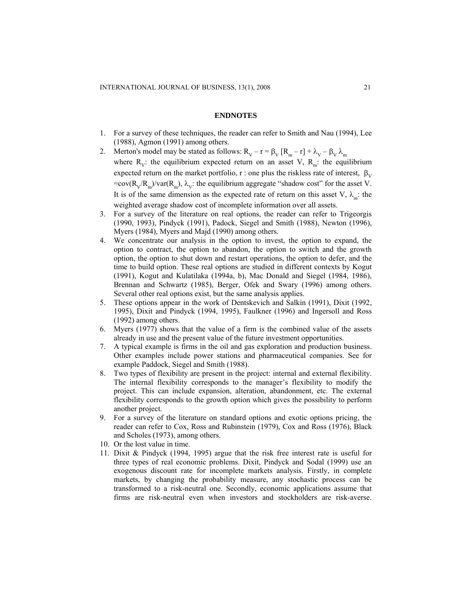#### **ENDNOTES**

- 1. For a survey of these techniques, the reader can refer to Smith and Nau (1994), Lee (1988), Agmon (1991) among others.
- 2. Merton's model may be stated as follows:  $R_V r = \beta_V [R_m r] + \lambda_V \beta_V \lambda_m$ where  $R_{V}$ : the equilibrium expected return on an asset V,  $R_{m}$ : the equilibrium expected return on the market portfolio, r : one plus the riskless rate of interest,  $\beta_V$ =cov( $R_v/R_m$ )/var( $R_m$ ),  $\lambda_v$ : the equilibrium aggregate "shadow cost" for the asset V. It is of the same dimension as the expected rate of return on this asset V,  $\lambda_{m}$ : the weighted average shadow cost of incomplete information over all assets.
- 3. For a survey of the literature on real options, the reader can refer to Trigeorgis (1990, 1993), Pindyck (1991), Padock, Siegel and Smith (1988), Newton (1996), Myers (1984), Myers and Majd (1990) among others.
- 4. We concentrate our analysis in the option to invest, the option to expand, the option to contract, the option to abandon, the option to switch and the growth option, the option to shut down and restart operations, the option to defer, and the time to build option. These real options are studied in different contexts by Kogut (1991), Kogut and Kulatilaka (1994a, b), Mac Donald and Siegel (1984, 1986), Brennan and Schwartz (1985), Berger, Ofek and Swary (1996) among others. Several other real options exist, but the same analysis applies.
- 5. These options appear in the work of Dentskevich and Salkin (1991), Dixit (1992, 1995), Dixit and Pindyck (1994, 1995), Faulkner (1996) and Ingersoll and Ross (1992) among others.
- 6. Myers (1977) shows that the value of a firm is the combined value of the assets already in use and the present value of the future investment opportunities.
- 7. A typical example is firms in the oil and gas exploration and production business. Other examples include power stations and pharmaceutical companies. See for example Paddock, Siegel and Smith (1988).
- 8. Two types of flexibility are present in the project: internal and external flexibility. The internal flexibility corresponds to the manager's flexibility to modify the project. This can include expansion, alteration, abandonment, etc. The external flexibility corresponds to the growth option which gives the possibility to perform another project.
- 9. For a survey of the literature on standard options and exotic options pricing, the reader can refer to Cox, Ross and Rubinstein (1979), Cox and Ross (1976), Black and Scholes (1973), among others.
- 10. Or the lost value in time.
- 11. Dixit & Pindyck (1994, 1995) argue that the risk free interest rate is useful for three types of real economic problems. Dixit, Pindyck and Sodal (1999) use an exogenous discount rate for incomplete markets analysis. Firstly, in complete markets, by changing the probability measure, any stochastic process can be transformed to a risk-neutral one. Secondly, economic applications assume that firms are risk-neutral even when investors and stockholders are risk-averse.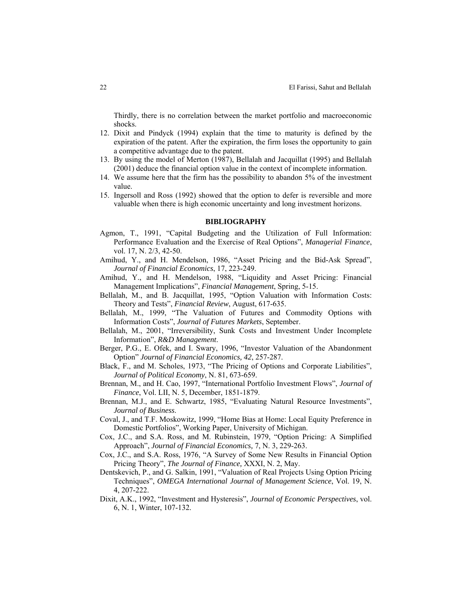Thirdly, there is no correlation between the market portfolio and macroeconomic shocks.

- 12. Dixit and Pindyck (1994) explain that the time to maturity is defined by the expiration of the patent. After the expiration, the firm loses the opportunity to gain a competitive advantage due to the patent.
- 13. By using the model of Merton (1987), Bellalah and Jacquillat (1995) and Bellalah (2001) deduce the financial option value in the context of incomplete information.
- 14. We assume here that the firm has the possibility to abandon 5% of the investment value.
- 15. Ingersoll and Ross (1992) showed that the option to defer is reversible and more valuable when there is high economic uncertainty and long investment horizons.

# **BIBLIOGRAPHY**

- Agmon, T., 1991, "Capital Budgeting and the Utilization of Full Information: Performance Evaluation and the Exercise of Real Options", *Managerial Finance*, vol. 17, N. 2/3, 42-50.
- Amihud, Y., and H. Mendelson, 1986, "Asset Pricing and the Bid-Ask Spread", *Journal of Financial Economics*, 17, 223-249.
- Amihud, Y., and H. Mendelson, 1988, "Liquidity and Asset Pricing: Financial Management Implications", *Financial Management*, Spring, 5-15.
- Bellalah, M., and B. Jacquillat, 1995, "Option Valuation with Information Costs: Theory and Tests", *Financial Review*, August, 617-635.
- Bellalah, M., 1999, "The Valuation of Futures and Commodity Options with Information Costs", *Journal of Futures Markets*, September.
- Bellalah, M., 2001, "Irreversibility, Sunk Costs and Investment Under Incomplete Information", *R&D Management*.
- Berger, P.G., E. Ofek, and I. Swary, 1996, "Investor Valuation of the Abandonment Option" *Journal of Financial Economics, 42*, 257-287.
- Black, F., and M. Scholes, 1973, "The Pricing of Options and Corporate Liabilities", *Journal of Political Economy*, N. 81, 673-659.
- Brennan, M., and H. Cao, 1997, "International Portfolio Investment Flows", *Journal of Finance*, Vol. LII, N. 5, December, 1851-1879.
- Brennan, M.J., and E. Schwartz, 1985, "Evaluating Natural Resource Investments", *Journal of Business*.
- Coval, J., and T.F. Moskowitz, 1999, "Home Bias at Home: Local Equity Preference in Domestic Portfolios", Working Paper, University of Michigan.
- Cox, J.C., and S.A. Ross, and M. Rubinstein, 1979, "Option Pricing: A Simplified Approach", *Journal of Financial Economics,* 7, N. 3, 229-263.
- Cox, J.C., and S.A. Ross, 1976, "A Survey of Some New Results in Financial Option Pricing Theory", *The Journal of Finance,* XXXI, N. 2, May.
- Dentskevich, P., and G. Salkin, 1991, "Valuation of Real Projects Using Option Pricing Techniques", *OMEGA International Journal of Management Science*, Vol. 19, N. 4, 207-222.
- Dixit, A.K., 1992, "Investment and Hysteresis", *Journal of Economic Perspectives*, vol. 6, N. 1, Winter, 107-132.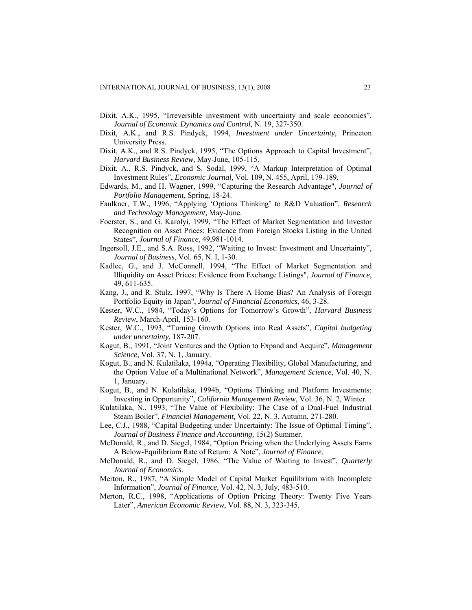- Dixit, A.K., 1995, "Irreversible investment with uncertainty and scale economies", *Journal of Economic Dynamics and Control,* N. 19, 327-350.
- Dixit, A.K., and R.S. Pindyck, 1994, *Investment under Uncertainty,* Princeton University Press.
- Dixit, A.K., and R.S. Pindyck, 1995, "The Options Approach to Capital Investment", *Harvard Business Review*, May-June, 105-115.
- Dixit, A., R.S. Pindyck, and S. Sodal, 1999, "A Markup Interpretation of Optimal Investment Rules", *Economic Journal,* Vol. 109, N. 455, April, 179-189.
- Edwards, M., and H. Wagner, 1999, "Capturing the Research Advantage", *Journal of Portfolio Management*, Spring, 18-24.
- Faulkner, T.W., 1996, "Applying 'Options Thinking' to R&D Valuation", *Research and Technology Management,* May-June.
- Foerster, S., and G. Karolyi, 1999, "The Effect of Market Segmentation and Investor Recognition on Asset Prices: Evidence from Foreign Stocks Listing in the United States", *Journal of Finance*, 49,981-1014.
- Ingersoll, J.E., and S.A. Ross, 1992, "Waiting to Invest: Investment and Uncertainty", *Journal of Business*, Vol. 65, N. I, 1-30.
- Kadlec, G., and J. McConnell, 1994, "The Effect of Market Segmentation and Illiquidity on Asset Prices: Evidence from Exchange Listings", *Journal of Finance*, 49, 611-635.
- Kang, J., and R. Stulz, 1997, "Why Is There A Home Bias? An Analysis of Foreign Portfolio Equity in Japan", *Journal of Financial Economics*, 46, 3-28.
- Kester, W.C., 1984, "Today's Options for Tomorrow's Growth", *Harvard Business Review*, March-April, 153-160.
- Kester, W.C., 1993, "Turning Growth Options into Real Assets", *Capital budgeting under uncertainty,* 187-207.
- Kogut, B., 1991, "Joint Ventures and the Option to Expand and Acquire", *Management Science*, Vol. 37, N. 1, January.
- Kogut, B., and N. Kulatilaka, 1994a, "Operating Flexibility, Global Manufacturing, and the Option Value of a Multinational Network", *Management Science*, Vol. 40, N. 1, January.
- Kogut, B., and N. Kulatilaka, 1994b, "Options Thinking and Platform Investments: Investing in Opportunity", *California Management Review*, Vol. 36, N. 2, Winter.
- Kulatilaka, N., 1993, "The Value of Flexibility: The Case of a Dual-Fuel Industrial Steam Boiler", *Financial Management,* Vol. 22, N. 3, Autumn, 271-280.
- Lee, C.J., 1988, "Capital Budgeting under Uncertainty: The Issue of Optimal Timing", *Journal of Business Finance and Accounting,* 15(2) Summer.
- McDonald, R., and D. Siegel, 1984, "Option Pricing when the Underlying Assets Earns A Below-Equilibrium Rate of Return: A Note", *Journal of Finance*.
- McDonald, R., and D. Siegel, 1986, "The Value of Waiting to Invest", *Quarterly Journal of Economics*.
- Merton, R., 1987, "A Simple Model of Capital Market Equilibrium with Incomplete Information", *Journal of Finance,* Vol. 42, N. 3, July, 483-510.
- Merton, R.C., 1998, "Applications of Option Pricing Theory: Twenty Five Years Later", *American Economic Review*, Vol. 88, N. 3, 323-345.